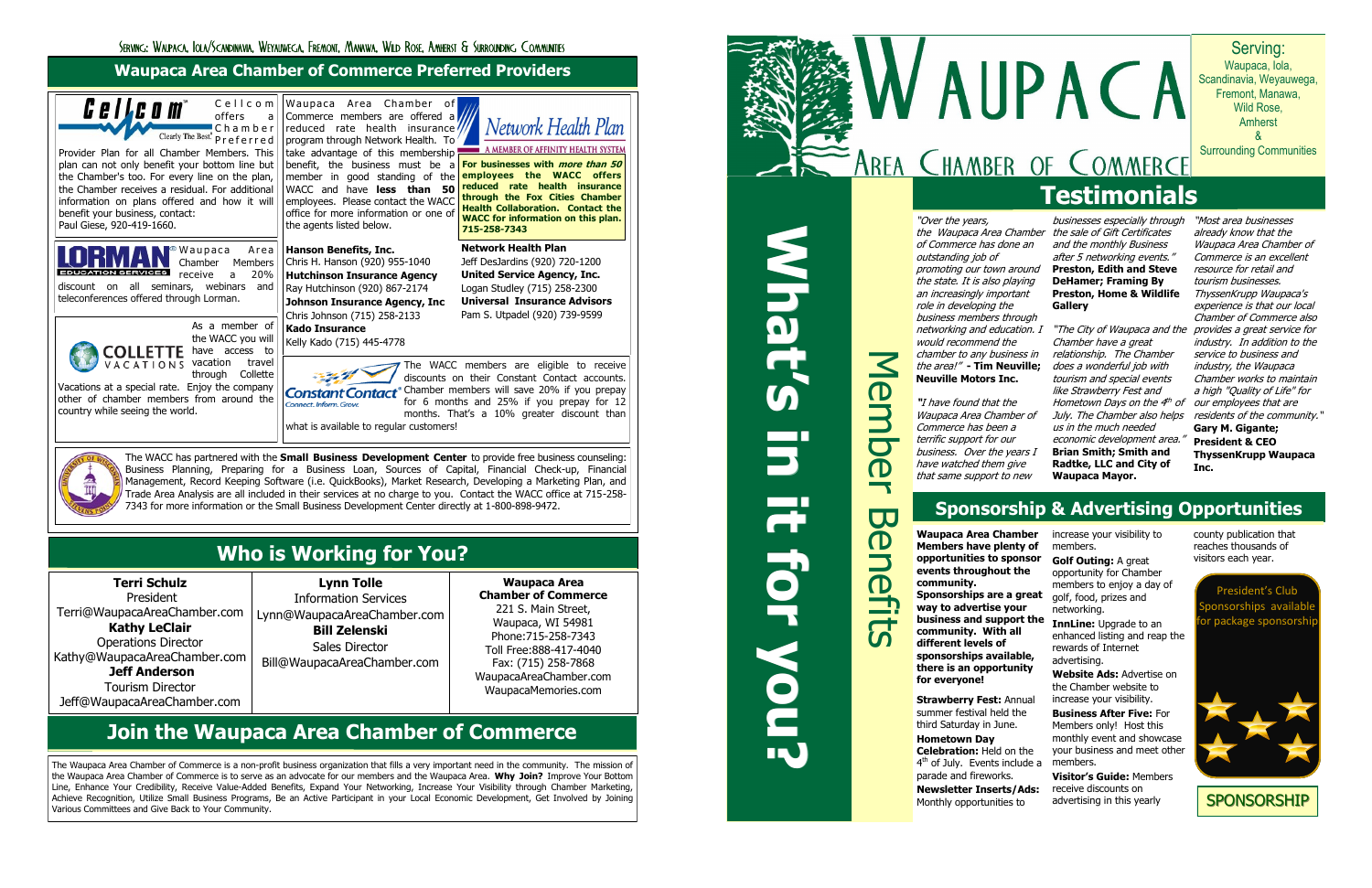**Lynn Tolle** Information Services

Lynn@WaupacaAreaChamber.com **Bill Zelenski** Sales Director Bill@WaupacaAreaChamber.com

**Terri Schulz** President Terri@WaupacaAreaChamber.com **Kathy LeClair** Operations Director Kathy@WaupacaAreaChamber.com **Jeff Anderson** Tourism Director Jeff@WaupacaAreaChamber.com

**Waupaca Area** 

### **Chamber of Commerce**

221 S. Main Street, Waupaca, WI 54981 Phone:715-258-7343 Toll Free:888-417-4040 Fax: (715) 258-7868 WaupacaAreaChamber.com WaupacaMemories.com

### **Who is Working for You?**

# **Join the Waupaca Area Chamber of Commerce**

The Waupaca Area Chamber of Commerce is a non-profit business organization that fills a very important need in the community. The mission of the Waupaca Area Chamber of Commerce is to serve as an advocate for our members and the Waupaca Area. **Why Join?** Improve Your Bottom Line, Enhance Your Credibility, Receive Value-Added Benefits, Expand Your Networking, Increase Your Visibility through Chamber Marketing, Achieve Recognition, Utilize Small Business Programs, Be an Active Participant in your Local Economic Development, Get Involved by Joining Various Committees and Give Back to Your Community.

the Waupaca Area Chamber the sale of Gift Certificates businesses especially through and the monthly Business after 5 networking events." **Preston, Edith and Steve DeHamer; Framing By Preston, Home & Wildlife Gallery**

# WAUPACA **AREA CHAMBER OF COMMERCE Testimonials**

**Strawberry Fest: Annual** summer festival held the third Saturday in June.

**business and support the InnLine:** Upgrade to an enhanced listing and reap the rewards of Internet advertising.



Member Benefits  $\blacktriangleright$  $\Omega$  $\mathbf D$ **UU**  $\mathbf 0$  $\Box$  $\Omega$ <u>in</u>

7343 for more information or the Small Business Development Center directly at 1-800-898-9472.

"Over the years, of Commerce has done an outstanding job of promoting our town around the state. It is also playing an increasingly important role in developing the business members through networking and education. I would recommend the chamber to any business in the area!" **- Tim Neuville; Neuville Motors Inc.**

**"**I have found that the Waupaca Area Chamber of Commerce has been a terrific support for our business. Over the years I have watched them give that same support to new

"The City of Waupaca and the provides a great service for Chamber have a great relationship. The Chamber does a wonderful job with tourism and special events like Strawberry Fest and Hometown Days on the 4<sup>th</sup> of our employees that are July. The Chamber also helps residents of the community." us in the much needed economic development area." **President & CEO Brian Smith; Smith and Radtke, LLC and City of Waupaca Mayor.** 

"Most area businesses already know that the Waupaca Area Chamber of Commerce is an excellent resource for retail and tourism businesses. ThyssenKrupp Waupaca's experience is that our local Chamber of Commerce also industry. In addition to the service to business and industry, the Waupaca Chamber works to maintain a high "Quality of Life" for **Gary M. Gigante;**

**ThyssenKrupp Waupaca Inc.**

### **Sponsorship & Advertising Opportunities**

**Members have plenty of events throughout the community. way to advertise your** 

**community. With all different levels of sponsorships available, there is an opportunity for everyone!**

**Waupaca Area Chamber**  increase your visibility to members.

**opportunities to sponsor Golf Outing:** A great **Sponsorships are a great**  golf, food, prizes and opportunity for Chamber members to enjoy a day of networking.

**Hometown Day Celebration:** Held on the 4<sup>th</sup> of July. Events include a parade and fireworks.

**Newsletter Inserts/Ads:**  receive discounts on Monthly opportunities to

**Website Ads:** Advertise on the Chamber website to increase your visibility.

**Business After Five:** For Members only! Host this monthly event and showcase your business and meet other members.

**Visitor's Guide:** Members advertising in this yearly

county publication that reaches thousands of visitors each year.

**What's in it for you?**

 $\overline{\phantom{a}}$ 

**Mhat's** 

Serving: Waupaca, Iola, Scandinavia, Weyauwega, Fremont, Manawa, Wild Rose, Amherst & Surrounding Communities



**SPONSORSHIP**